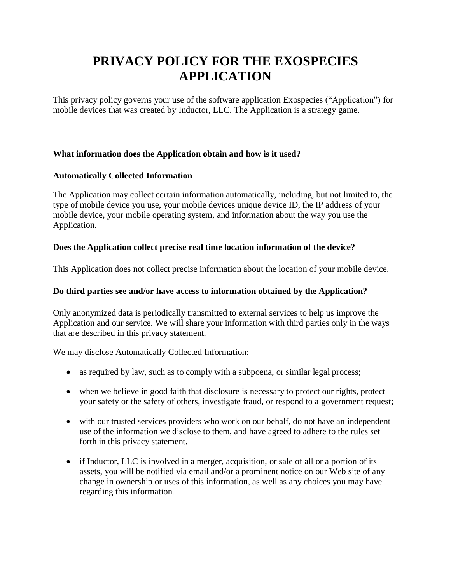# **PRIVACY POLICY FOR THE EXOSPECIES APPLICATION**

This privacy policy governs your use of the software application Exospecies ("Application") for mobile devices that was created by Inductor, LLC. The Application is a strategy game.

# **What information does the Application obtain and how is it used?**

# **Automatically Collected Information**

The Application may collect certain information automatically, including, but not limited to, the type of mobile device you use, your mobile devices unique device ID, the IP address of your mobile device, your mobile operating system, and information about the way you use the Application.

# **Does the Application collect precise real time location information of the device?**

This Application does not collect precise information about the location of your mobile device.

## **Do third parties see and/or have access to information obtained by the Application?**

Only anonymized data is periodically transmitted to external services to help us improve the Application and our service. We will share your information with third parties only in the ways that are described in this privacy statement.

We may disclose Automatically Collected Information:

- as required by law, such as to comply with a subpoena, or similar legal process;
- when we believe in good faith that disclosure is necessary to protect our rights, protect your safety or the safety of others, investigate fraud, or respond to a government request;
- with our trusted services providers who work on our behalf, do not have an independent use of the information we disclose to them, and have agreed to adhere to the rules set forth in this privacy statement.
- if Inductor, LLC is involved in a merger, acquisition, or sale of all or a portion of its assets, you will be notified via email and/or a prominent notice on our Web site of any change in ownership or uses of this information, as well as any choices you may have regarding this information.